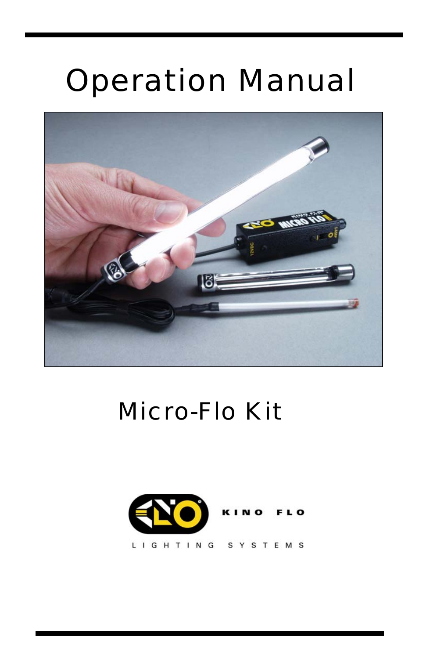## Operation Manual



### Micro-Flo Kit

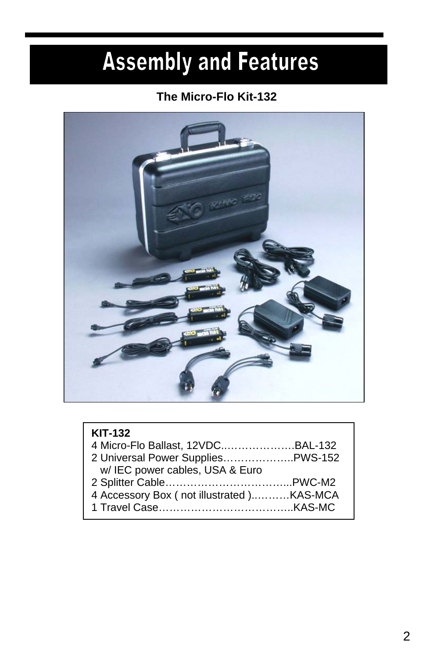## **Assembly and Features**

### **The Micro-Flo Kit-132**



| <b>KIT-132</b>                           |  |
|------------------------------------------|--|
|                                          |  |
| 2 Universal Power Supplies PWS-152       |  |
| w/IEC power cables, USA & Euro           |  |
|                                          |  |
| 4 Accessory Box (not illustrated)KAS-MCA |  |
|                                          |  |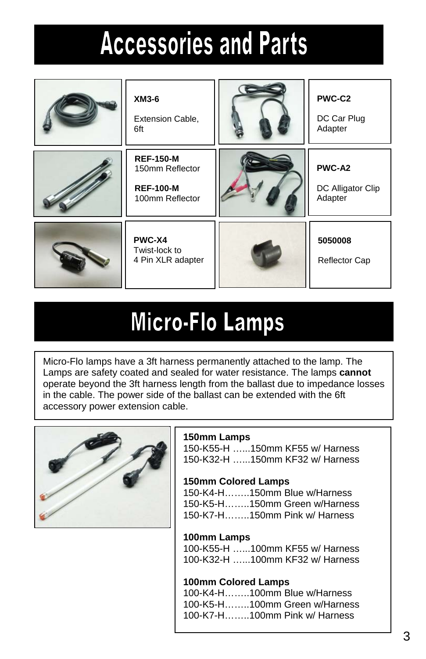# **Accessories and Parts**

| XM3-6<br>Extension Cable,<br>6ft                                           | PWC-C2<br>DC Car Plug<br>Adapter       |
|----------------------------------------------------------------------------|----------------------------------------|
| <b>REF-150-M</b><br>150mm Reflector<br><b>REF-100-M</b><br>100mm Reflector | PWC-A2<br>DC Alligator Clip<br>Adapter |
| PWC-X4<br>Twist-lock to<br>4 Pin XLR adapter                               | 5050008<br>Reflector Cap               |

### **Micro-Flo Lamps**

Micro-Flo lamps have a 3ft harness permanently attached to the lamp. The Lamps are safety coated and sealed for water resistance. The lamps **cannot**  operate beyond the 3ft harness length from the ballast due to impedance losses in the cable. The power side of the ballast can be extended with the 6ft accessory power extension cable.



#### **150mm Lamps**

150-K55-H …...150mm KF55 w/ Harness 150-K32-H …...150mm KF32 w/ Harness

#### **150mm Colored Lamps**

150-K4-H……..150mm Blue w/Harness 150-K5-H……..150mm Green w/Harness 150-K7-H……..150mm Pink w/ Harness

#### **100mm Lamps**

100-K55-H …...100mm KF55 w/ Harness 100-K32-H …...100mm KF32 w/ Harness

#### **100mm Colored Lamps**

100-K4-H……..100mm Blue w/Harness 100-K5-H……..100mm Green w/Harness 100-K7-H……..100mm Pink w/ Harness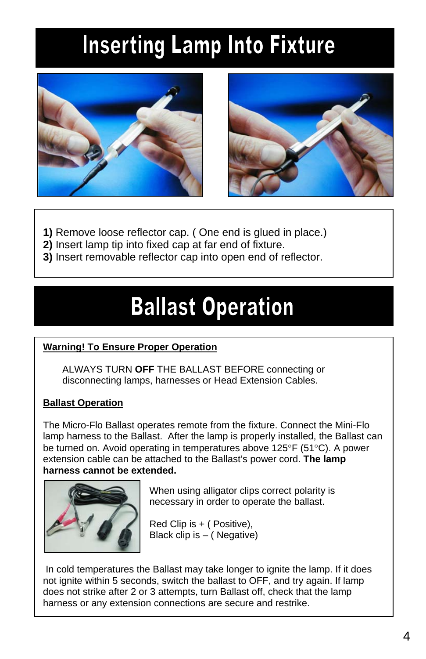## **Inserting Lamp Into Fixture**





- **1)** Remove loose reflector cap. ( One end is glued in place.)
- **2)** Insert lamp tip into fixed cap at far end of fixture.
- **3)** Insert removable reflector cap into open end of reflector.

### **Ballast Operation**

#### **Warning! To Ensure Proper Operation**

ALWAYS TURN **OFF** THE BALLAST BEFORE connecting or disconnecting lamps, harnesses or Head Extension Cables.

#### **Ballast Operation**

The Micro-Flo Ballast operates remote from the fixture. Connect the Mini-Flo lamp harness to the Ballast. After the lamp is properly installed, the Ballast can be turned on. Avoid operating in temperatures above 125°F (51°C). A power extension cable can be attached to the Ballast's power cord. **The lamp harness cannot be extended.** 



When using alligator clips correct polarity is necessary in order to operate the ballast.

Red Clip is + ( Positive), Black clip is – ( Negative)

 In cold temperatures the Ballast may take longer to ignite the lamp. If it does not ignite within 5 seconds, switch the ballast to OFF, and try again. If lamp does not strike after 2 or 3 attempts, turn Ballast off, check that the lamp harness or any extension connections are secure and restrike.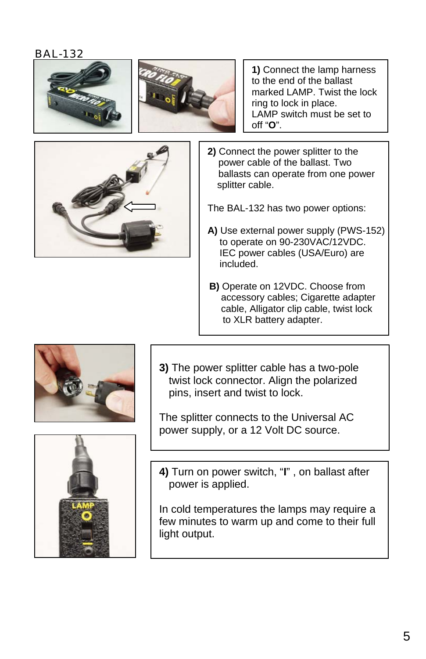



**1)** Connect the lamp harness to the end of the ballast marked LAMP. Twist the lock ring to lock in place. LAMP switch must be set to off "**O**".

**2)** Connect the power splitter to the power cable of the ballast. Two ballasts can operate from one power splitter cable.

The BAL-132 has two power options:

- **A)** Use external power supply (PWS-152) to operate on 90-230VAC/12VDC. IEC power cables (USA/Euro) are included.
- **B)** Operate on 12VDC. Choose from accessory cables; Cigarette adapter cable, Alligator clip cable, twist lock to XLR battery adapter.



**3)** The power splitter cable has a two-pole twist lock connector. Align the polarized pins, insert and twist to lock.

The splitter connects to the Universal AC power supply, or a 12 Volt DC source.



**4)** Turn on power switch, "**I**" , on ballast after power is applied.

In cold temperatures the lamps may require a few minutes to warm up and come to their full light output.